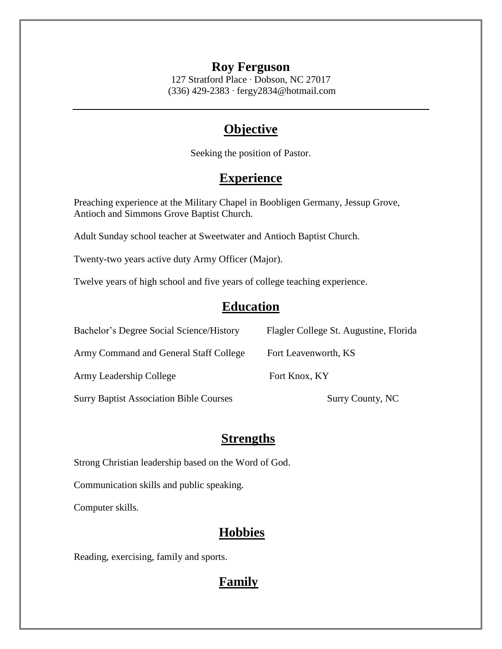#### **Roy Ferguson**

127 Stratford Place ∙ Dobson, NC 27017 (336) 429-2383 ∙ fergy2834@hotmail.com

## **Objective**

Seeking the position of Pastor.

# **Experience**

Preaching experience at the Military Chapel in Boobligen Germany, Jessup Grove, Antioch and Simmons Grove Baptist Church.

Adult Sunday school teacher at Sweetwater and Antioch Baptist Church.

Twenty-two years active duty Army Officer (Major).

Twelve years of high school and five years of college teaching experience.

### **Education**

| Bachelor's Degree Social Science/History       | Flagler College St. Augustine, Florida |
|------------------------------------------------|----------------------------------------|
| Army Command and General Staff College         | Fort Leavenworth, KS                   |
| Army Leadership College                        | Fort Knox, KY                          |
| <b>Surry Baptist Association Bible Courses</b> | Surry County, NC                       |

### **Strengths**

Strong Christian leadership based on the Word of God.

Communication skills and public speaking.

Computer skills.

## **Hobbies**

Reading, exercising, family and sports.

## **Family**